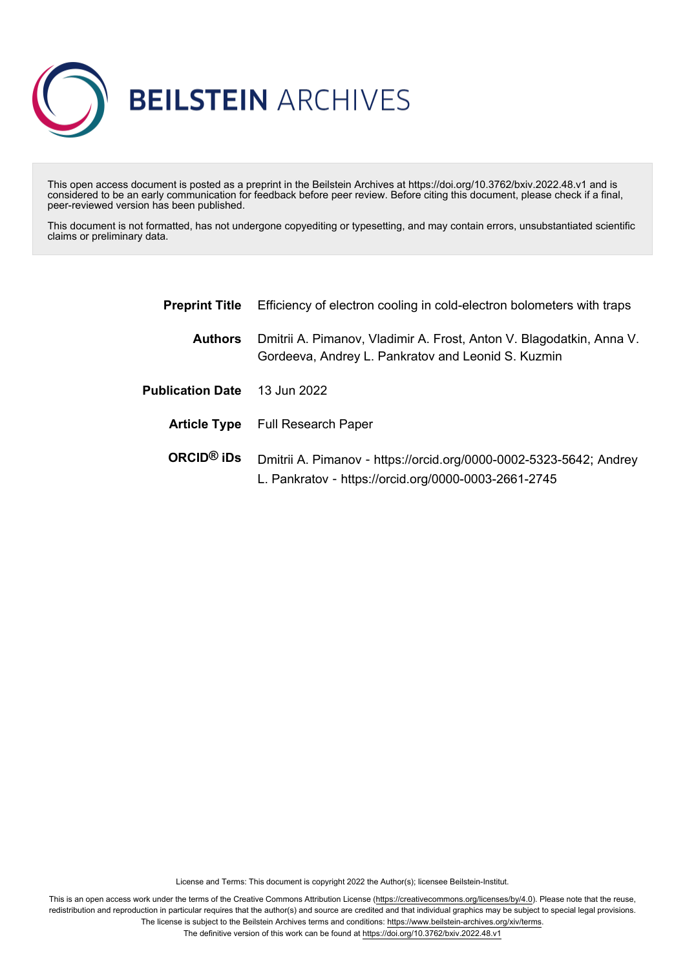

This open access document is posted as a preprint in the Beilstein Archives at https://doi.org/10.3762/bxiv.2022.48.v1 and is considered to be an early communication for feedback before peer review. Before citing this document, please check if a final, peer-reviewed version has been published.

This document is not formatted, has not undergone copyediting or typesetting, and may contain errors, unsubstantiated scientific claims or preliminary data.

| <b>Preprint Title</b>               | Efficiency of electron cooling in cold-electron bolometers with traps                                                      |
|-------------------------------------|----------------------------------------------------------------------------------------------------------------------------|
| <b>Authors</b>                      | Dmitrii A. Pimanov, Vladimir A. Frost, Anton V. Blagodatkin, Anna V.<br>Gordeeva, Andrey L. Pankratov and Leonid S. Kuzmin |
| <b>Publication Date</b> 13 Jun 2022 |                                                                                                                            |
|                                     | <b>Article Type</b> Full Research Paper                                                                                    |
| $ORCID®$ iDs                        | Dmitrii A. Pimanov - https://orcid.org/0000-0002-5323-5642; Andrey<br>L. Pankratov - https://orcid.org/0000-0003-2661-2745 |

License and Terms: This document is copyright 2022 the Author(s); licensee Beilstein-Institut.

This is an open access work under the terms of the Creative Commons Attribution License [\(https://creativecommons.org/licenses/by/4.0\)](https://creativecommons.org/licenses/by/4.0). Please note that the reuse, redistribution and reproduction in particular requires that the author(s) and source are credited and that individual graphics may be subject to special legal provisions. The license is subject to the Beilstein Archives terms and conditions: [https://www.beilstein-archives.org/xiv/terms.](https://www.beilstein-archives.org/xiv/terms)

The definitive version of this work can be found at <https://doi.org/10.3762/bxiv.2022.48.v1>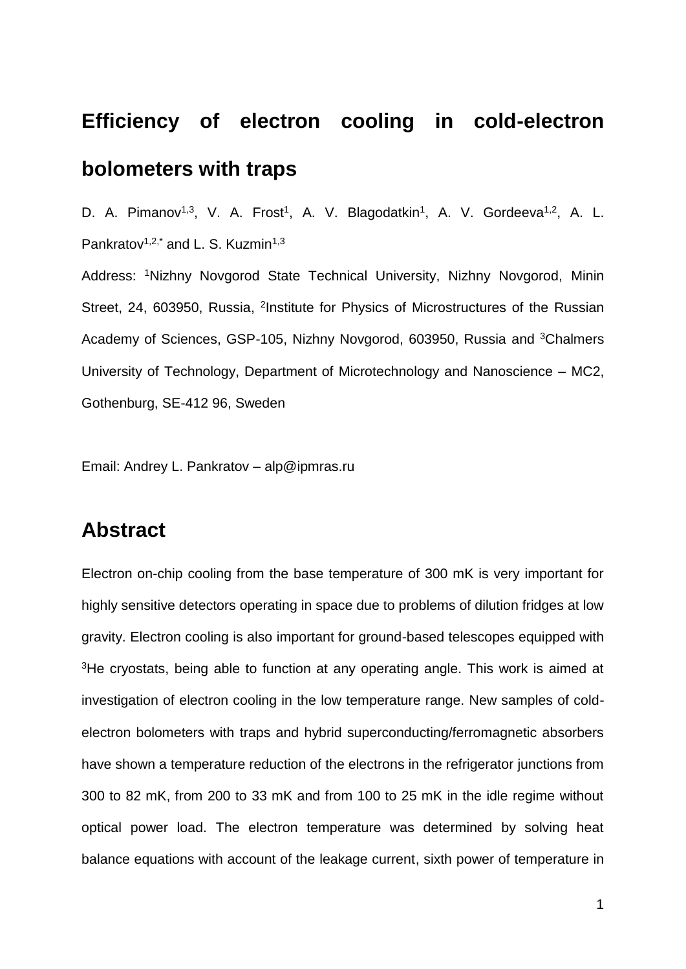# **Efficiency of electron cooling in cold-electron bolometers with traps**

D. A. Pimanov<sup>1,3</sup>, V. A. Frost<sup>1</sup>, A. V. Blagodatkin<sup>1</sup>, A. V. Gordeeva<sup>1,2</sup>, A. L. Pankratov<sup>1,2,\*</sup> and L. S. Kuzmin<sup>1,3</sup> Address: <sup>1</sup>Nizhny Novgorod State Technical University, Nizhny Novgorod, Minin Street, 24, 603950, Russia, <sup>2</sup>Institute for Physics of Microstructures of the Russian Academy of Sciences, GSP-105, Nizhny Novgorod, 603950, Russia and <sup>3</sup>Chalmers University of Technology, Department of Microtechnology and Nanoscience – MC2, Gothenburg, SE-412 96, Sweden

Email: Andrey L. Pankratov – alp@ipmras.ru

### **Abstract**

Electron on-chip cooling from the base temperature of 300 mK is very important for highly sensitive detectors operating in space due to problems of dilution fridges at low gravity. Electron cooling is also important for ground-based telescopes equipped with <sup>3</sup>He cryostats, being able to function at any operating angle. This work is aimed at investigation of electron cooling in the low temperature range. New samples of coldelectron bolometers with traps and hybrid superconducting/ferromagnetic absorbers have shown a temperature reduction of the electrons in the refrigerator junctions from 300 to 82 mK, from 200 to 33 mK and from 100 to 25 mK in the idle regime without optical power load. The electron temperature was determined by solving heat balance equations with account of the leakage current, sixth power of temperature in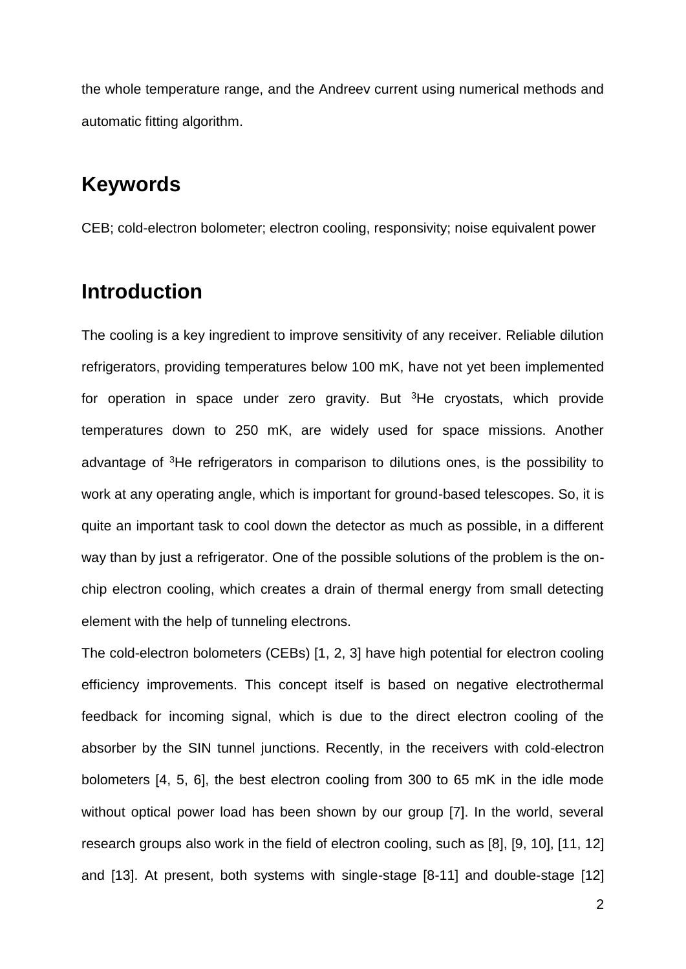the whole temperature range, and the Andreev current using numerical methods and automatic fitting algorithm.

### **Keywords**

CEB; cold-electron bolometer; electron cooling, responsivity; noise equivalent power

### **Introduction**

The cooling is a key ingredient to improve sensitivity of any receiver. Reliable dilution refrigerators, providing temperatures below 100 mK, have not yet been implemented for operation in space under zero gravity. But <sup>3</sup>He cryostats, which provide temperatures down to 250 mK, are widely used for space missions. Another advantage of <sup>3</sup>He refrigerators in comparison to dilutions ones, is the possibility to work at any operating angle, which is important for ground-based telescopes. So, it is quite an important task to cool down the detector as much as possible, in a different way than by just a refrigerator. One of the possible solutions of the problem is the onchip electron cooling, which creates a drain of thermal energy from small detecting element with the help of tunneling electrons.

The cold-electron bolometers (CEBs) [1, 2, 3] have high potential for electron cooling efficiency improvements. This concept itself is based on negative electrothermal feedback for incoming signal, which is due to the direct electron cooling of the absorber by the SIN tunnel junctions. Recently, in the receivers with cold-electron bolometers [4, 5, 6], the best electron cooling from 300 to 65 mK in the idle mode without optical power load has been shown by our group [7]. In the world, several research groups also work in the field of electron cooling, such as [8], [9, 10], [11, 12] and [13]. At present, both systems with single-stage [8-11] and double-stage [12]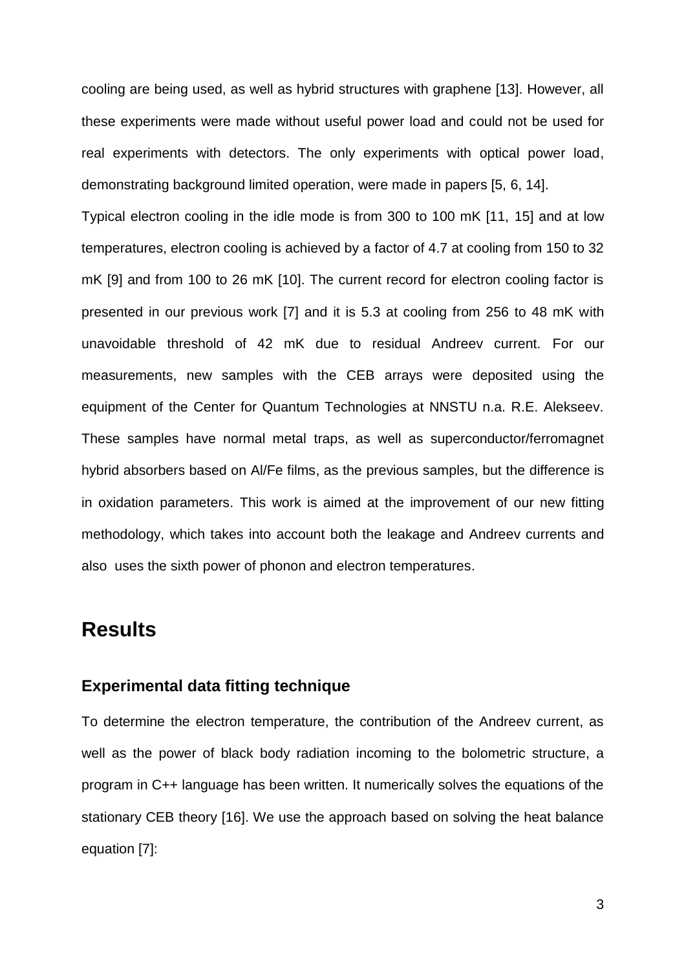cooling are being used, as well as hybrid structures with graphene [13]. However, all these experiments were made without useful power load and could not be used for real experiments with detectors. The only experiments with optical power load, demonstrating background limited operation, were made in papers [5, 6, 14].

Typical electron cooling in the idle mode is from 300 to 100 mK [11, 15] and at low temperatures, electron cooling is achieved by a factor of 4.7 at cooling from 150 to 32 mK [9] and from 100 to 26 mK [10]. The current record for electron cooling factor is presented in our previous work [7] and it is 5.3 at cooling from 256 to 48 mK with unavoidable threshold of 42 mK due to residual Andreev current. For our measurements, new samples with the CEB arrays were deposited using the equipment of the Center for Quantum Technologies at NNSTU n.a. R.E. Alekseev. These samples have normal metal traps, as well as superconductor/ferromagnet hybrid absorbers based on Al/Fe films, as the previous samples, but the difference is in oxidation parameters. This work is aimed at the improvement of our new fitting methodology, which takes into account both the leakage and Andreev currents and also uses the sixth power of phonon and electron temperatures.

### **Results**

#### **Experimental data fitting technique**

To determine the electron temperature, the contribution of the Andreev current, as well as the power of black body radiation incoming to the bolometric structure, a program in C++ language has been written. It numerically solves the equations of the stationary CEB theory [16]. We use the approach based on solving the heat balance equation [7]: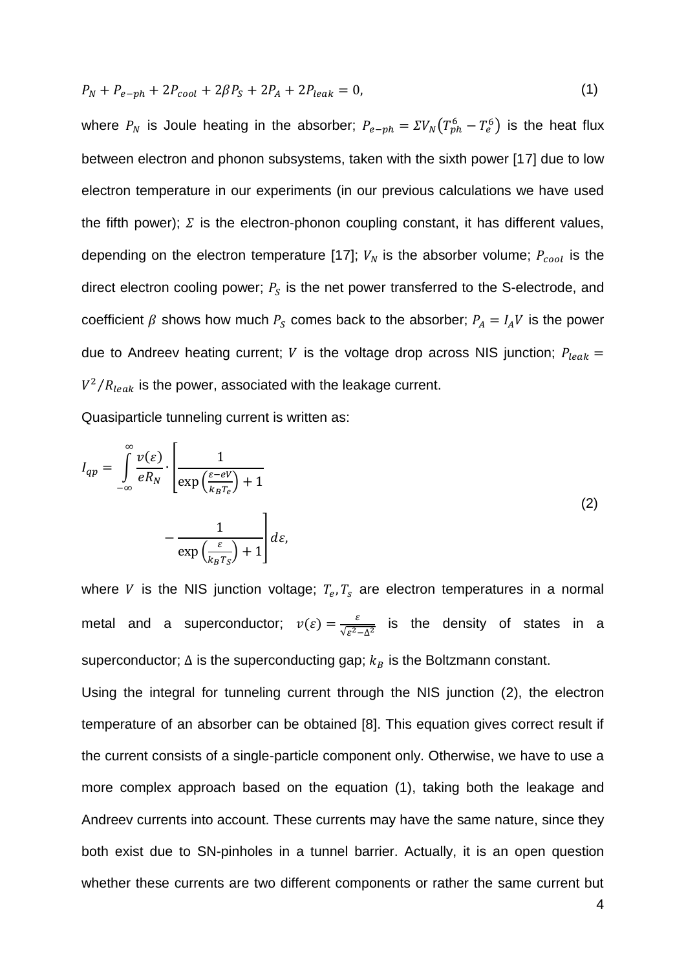$$
P_N + P_{e-ph} + 2P_{cool} + 2\beta P_S + 2P_A + 2P_{leak} = 0,
$$
\n(1)

where  $P_N$  is Joule heating in the absorber;  $P_{e-ph} = \Sigma V_N (T_{ph}^6 - T_e^6)$  is the heat flux between electron and phonon subsystems, taken with the sixth power [17] due to low electron temperature in our experiments (in our previous calculations we have used the fifth power);  $\Sigma$  is the electron-phonon coupling constant, it has different values, depending on the electron temperature [17];  $V_N$  is the absorber volume;  $P_{cool}$  is the direct electron cooling power;  $P_S$  is the net power transferred to the S-electrode, and coefficient  $\beta$  shows how much  $P_S$  comes back to the absorber;  $P_A = I_A V$  is the power due to Andreev heating current; *V* is the voltage drop across NIS junction;  $P_{leak}$  =  $V^2/R_{leak}$  is the power, associated with the leakage current.

Quasiparticle tunneling current is written as:

$$
I_{qp} = \int_{-\infty}^{\infty} \frac{\nu(\varepsilon)}{eR_N} \cdot \left[ \frac{1}{\exp\left(\frac{\varepsilon - eV}{k_B T_e}\right) + 1} - \frac{1}{\exp\left(\frac{\varepsilon}{k_B T_S}\right) + 1} \right] d\varepsilon,
$$
\n(2)

where V is the NIS junction voltage;  $T_e, T_s$  are electron temperatures in a normal metal and a superconductor;  $v(\varepsilon) = \frac{\varepsilon}{\sqrt{2}}$  $\frac{\varepsilon}{\sqrt{\varepsilon^2-\Delta^2}}$  is the density of states in a superconductor;  $\Delta$  is the superconducting gap;  $k_B$  is the Boltzmann constant.

Using the integral for tunneling current through the NIS junction (2), the electron temperature of an absorber can be obtained [8]. This equation gives correct result if the current consists of a single-particle component only. Otherwise, we have to use a more complex approach based on the equation (1), taking both the leakage and Andreev currents into account. These currents may have the same nature, since they both exist due to SN-pinholes in a tunnel barrier. Actually, it is an open question whether these currents are two different components or rather the same current but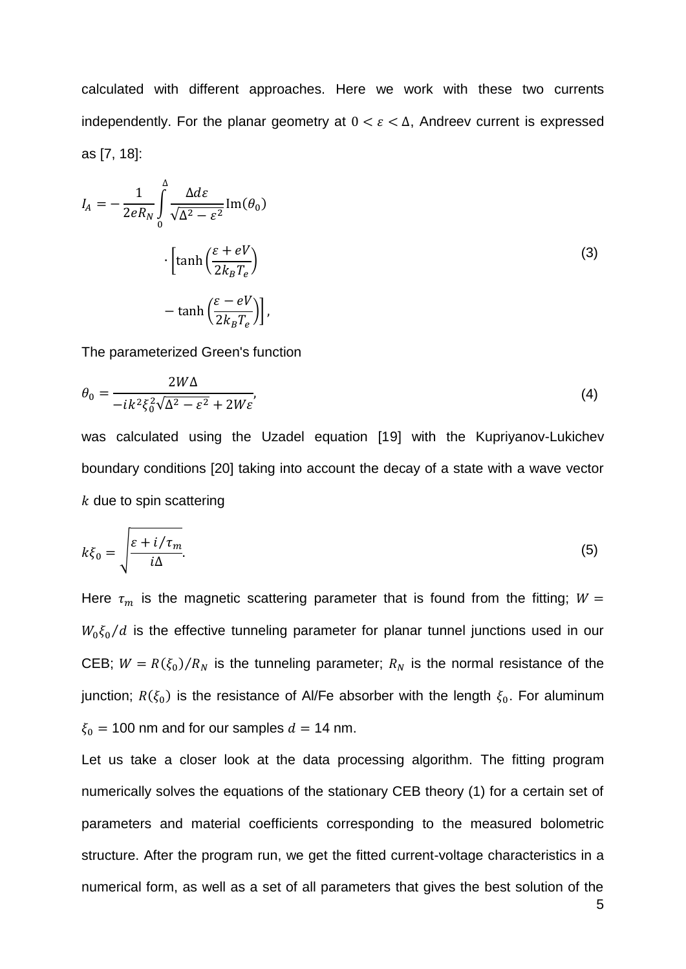calculated with different approaches. Here we work with these two currents independently. For the planar geometry at  $0 < \varepsilon < \Delta$ , Andreev current is expressed as [7, 18]:

$$
I_A = -\frac{1}{2eR_N} \int_0^{\Delta} \frac{\Delta d\varepsilon}{\sqrt{\Delta^2 - \varepsilon^2}} \text{Im}(\theta_0)
$$

$$
\cdot \left[ \tanh\left(\frac{\varepsilon + eV}{2k_B T_e}\right) - \tanh\left(\frac{\varepsilon - eV}{2k_B T_e}\right) \right],
$$
 (3)

The parameterized Green's function

$$
\theta_0 = \frac{2W\Delta}{-ik^2\xi_0^2\sqrt{\Delta^2 - \varepsilon^2} + 2W\varepsilon'},\tag{4}
$$

was calculated using the Uzadel equation [19] with the Kupriyanov-Lukichev boundary conditions [20] taking into account the decay of a state with a wave vector  $k$  due to spin scattering

$$
k\xi_0 = \sqrt{\frac{\varepsilon + i/\tau_m}{i\Delta}}.\tag{5}
$$

Here  $\tau_m$  is the magnetic scattering parameter that is found from the fitting;  $W =$  $W_0 \xi_0/d$  is the effective tunneling parameter for planar tunnel junctions used in our CEB;  $W = R(\xi_0)/R_N$  is the tunneling parameter;  $R_N$  is the normal resistance of the junction;  $R(\xi_0)$  is the resistance of Al/Fe absorber with the length  $\xi_0$ . For aluminum  $\xi_0 = 100$  nm and for our samples  $d = 14$  nm.

Let us take a closer look at the data processing algorithm. The fitting program numerically solves the equations of the stationary CEB theory (1) for a certain set of parameters and material coefficients corresponding to the measured bolometric structure. After the program run, we get the fitted current-voltage characteristics in a numerical form, as well as a set of all parameters that gives the best solution of the

5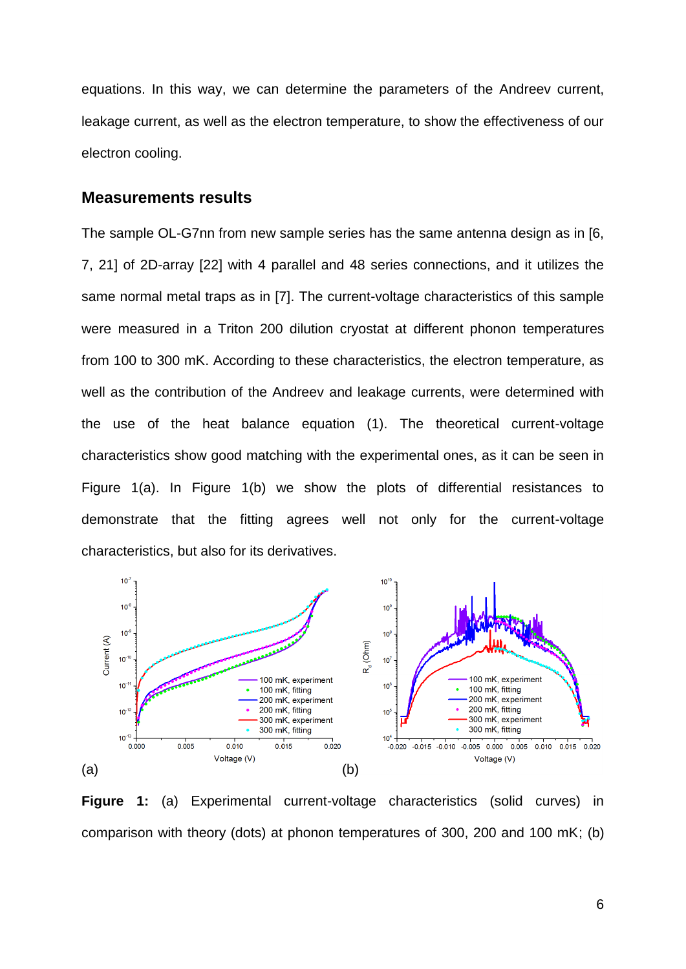equations. In this way, we can determine the parameters of the Andreev current, leakage current, as well as the electron temperature, to show the effectiveness of our electron cooling.

#### **Measurements results**

The sample OL-G7nn from new sample series has the same antenna design as in [6, 7, 21] of 2D-array [22] with 4 parallel and 48 series connections, and it utilizes the same normal metal traps as in [7]. The current-voltage characteristics of this sample were measured in a Triton 200 dilution cryostat at different phonon temperatures from 100 to 300 mK. According to these characteristics, the electron temperature, as well as the contribution of the Andreev and leakage currents, were determined with the use of the heat balance equation (1). The theoretical current-voltage characteristics show good matching with the experimental ones, as it can be seen in Figure 1(a). In Figure 1(b) we show the plots of differential resistances to demonstrate that the fitting agrees well not only for the current-voltage characteristics, but also for its derivatives.



**Figure 1:** (a) Experimental current-voltage characteristics (solid curves) in comparison with theory (dots) at phonon temperatures of 300, 200 and 100 mK; (b)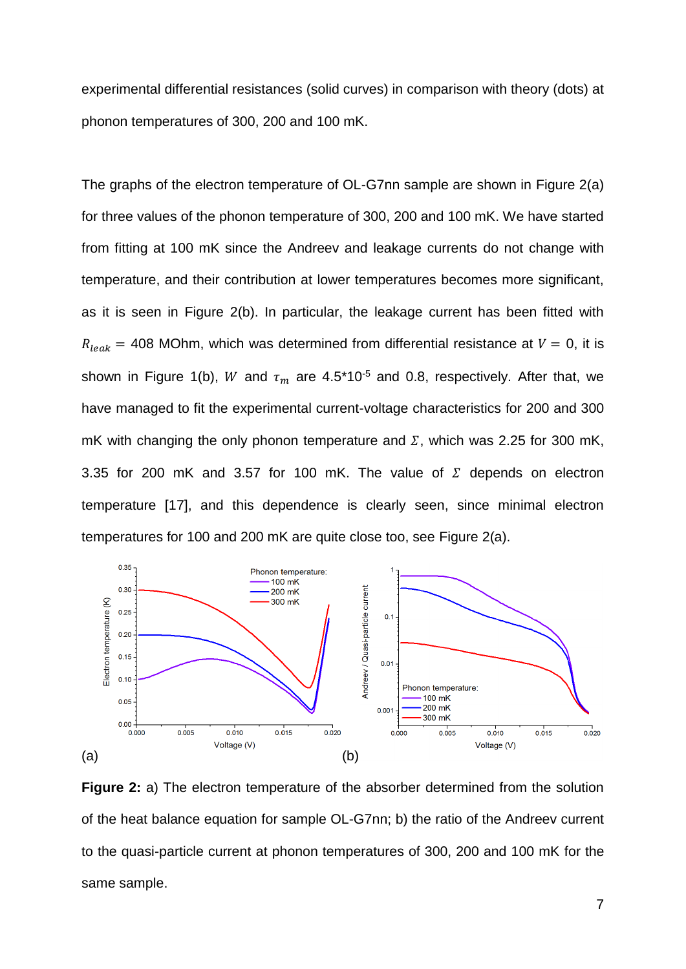experimental differential resistances (solid curves) in comparison with theory (dots) at phonon temperatures of 300, 200 and 100 mK.

The graphs of the electron temperature of OL-G7nn sample are shown in Figure 2(a) for three values of the phonon temperature of 300, 200 and 100 mK. We have started from fitting at 100 mK since the Andreev and leakage currents do not change with temperature, and their contribution at lower temperatures becomes more significant, as it is seen in Figure 2(b). In particular, the leakage current has been fitted with  $R_{leak}$  = 408 MOhm, which was determined from differential resistance at  $V = 0$ , it is shown in Figure 1(b), W and  $\tau_m$  are 4.5\*10<sup>-5</sup> and 0.8, respectively. After that, we have managed to fit the experimental current-voltage characteristics for 200 and 300 mK with changing the only phonon temperature and  $\Sigma$ , which was 2.25 for 300 mK, 3.35 for 200 mK and 3.57 for 100 mK. The value of  $\Sigma$  depends on electron temperature [17], and this dependence is clearly seen, since minimal electron temperatures for 100 and 200 mK are quite close too, see Figure 2(a).



**Figure 2:** a) The electron temperature of the absorber determined from the solution of the heat balance equation for sample OL-G7nn; b) the ratio of the Andreev current to the quasi-particle current at phonon temperatures of 300, 200 and 100 mK for the same sample.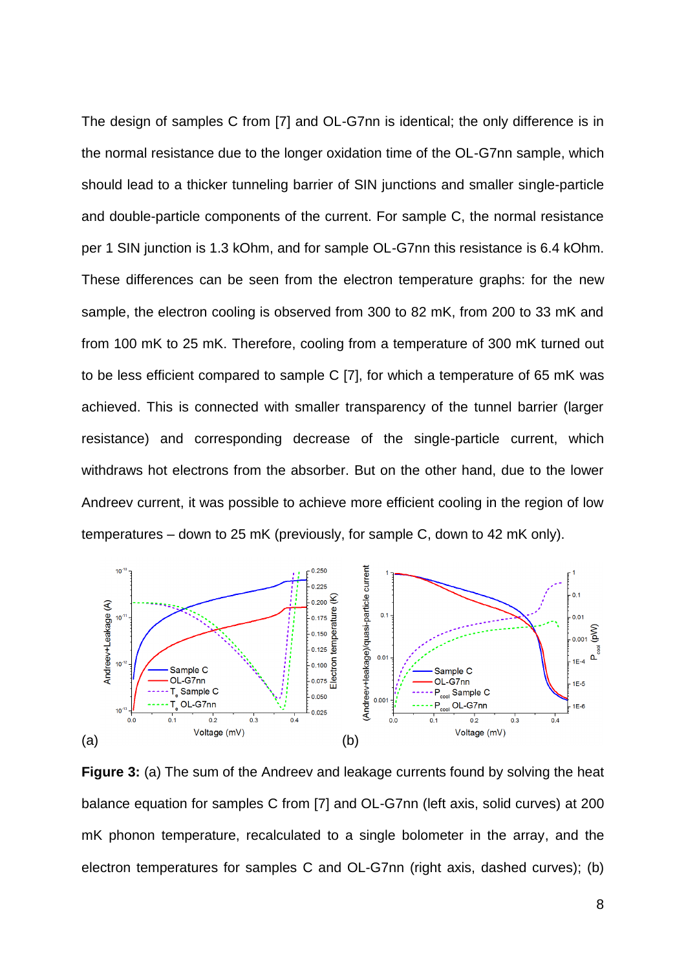The design of samples C from [7] and OL-G7nn is identical; the only difference is in the normal resistance due to the longer oxidation time of the OL-G7nn sample, which should lead to a thicker tunneling barrier of SIN junctions and smaller single-particle and double-particle components of the current. For sample C, the normal resistance per 1 SIN junction is 1.3 kOhm, and for sample OL-G7nn this resistance is 6.4 kOhm. These differences can be seen from the electron temperature graphs: for the new sample, the electron cooling is observed from 300 to 82 mK, from 200 to 33 mK and from 100 mK to 25 mK. Therefore, cooling from a temperature of 300 mK turned out to be less efficient compared to sample C [7], for which a temperature of 65 mK was achieved. This is connected with smaller transparency of the tunnel barrier (larger resistance) and corresponding decrease of the single-particle current, which withdraws hot electrons from the absorber. But on the other hand, due to the lower Andreev current, it was possible to achieve more efficient cooling in the region of low temperatures – down to 25 mK (previously, for sample C, down to 42 mK only).



**Figure 3:** (a) The sum of the Andreev and leakage currents found by solving the heat balance equation for samples C from [7] and OL-G7nn (left axis, solid curves) at 200 mK phonon temperature, recalculated to a single bolometer in the array, and the electron temperatures for samples C and OL-G7nn (right axis, dashed curves); (b)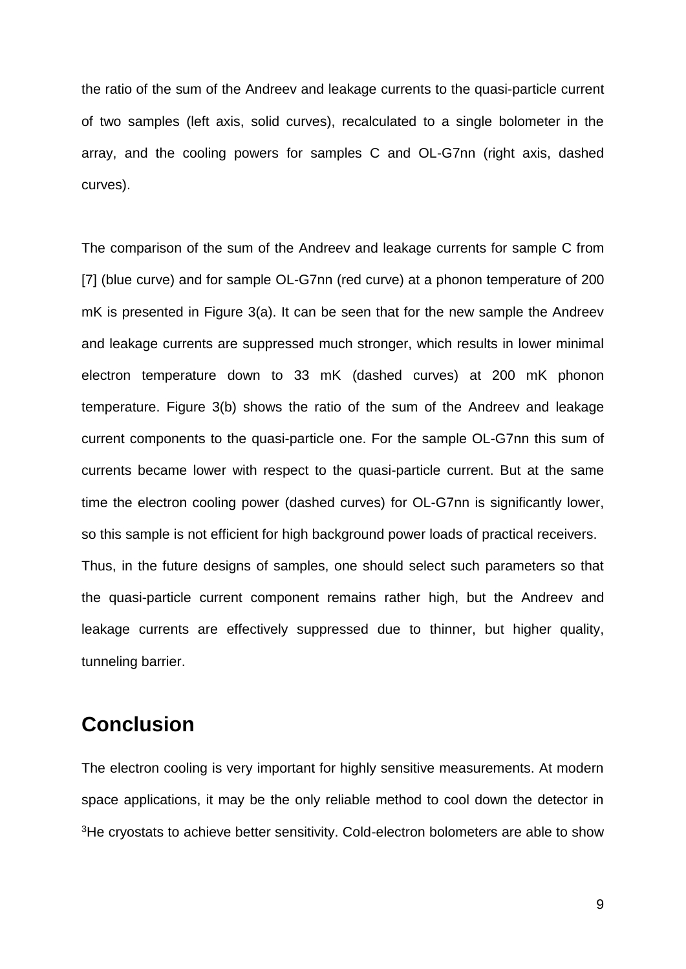the ratio of the sum of the Andreev and leakage currents to the quasi-particle current of two samples (left axis, solid curves), recalculated to a single bolometer in the array, and the cooling powers for samples C and OL-G7nn (right axis, dashed curves).

The comparison of the sum of the Andreev and leakage currents for sample C from [7] (blue curve) and for sample OL-G7nn (red curve) at a phonon temperature of 200 mK is presented in Figure 3(a). It can be seen that for the new sample the Andreev and leakage currents are suppressed much stronger, which results in lower minimal electron temperature down to 33 mK (dashed curves) at 200 mK phonon temperature. Figure 3(b) shows the ratio of the sum of the Andreev and leakage current components to the quasi-particle one. For the sample OL-G7nn this sum of currents became lower with respect to the quasi-particle current. But at the same time the electron cooling power (dashed curves) for OL-G7nn is significantly lower, so this sample is not efficient for high background power loads of practical receivers. Thus, in the future designs of samples, one should select such parameters so that the quasi-particle current component remains rather high, but the Andreev and leakage currents are effectively suppressed due to thinner, but higher quality, tunneling barrier.

### **Conclusion**

The electron cooling is very important for highly sensitive measurements. At modern space applications, it may be the only reliable method to cool down the detector in <sup>3</sup>He cryostats to achieve better sensitivity. Cold-electron bolometers are able to show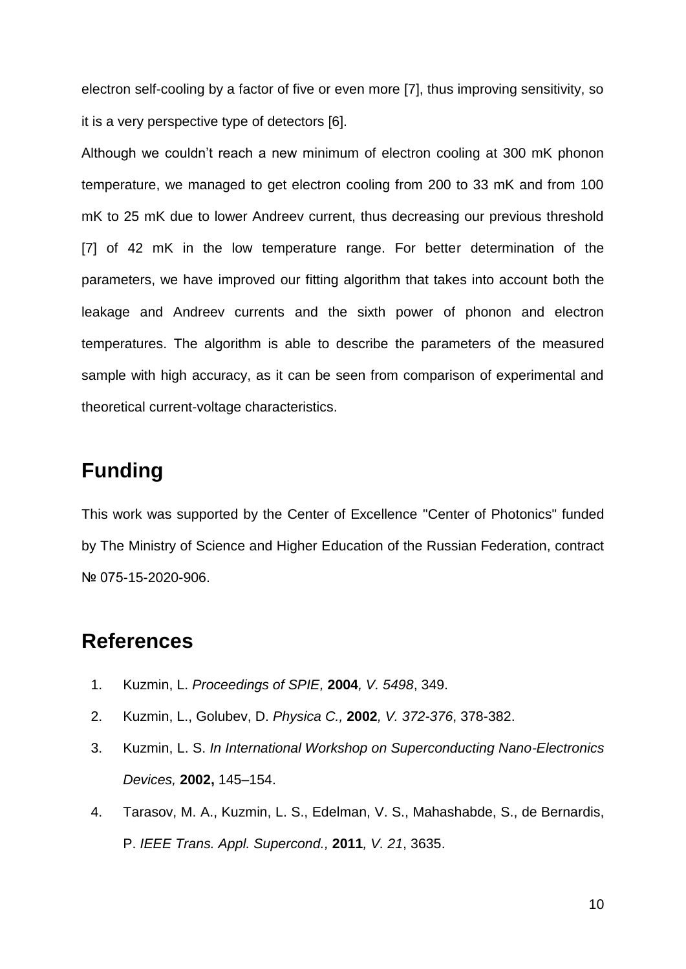electron self-cooling by a factor of five or even more [7], thus improving sensitivity, so it is a very perspective type of detectors [6].

Although we couldn't reach a new minimum of electron cooling at 300 mK phonon temperature, we managed to get electron cooling from 200 to 33 mK and from 100 mK to 25 mK due to lower Andreev current, thus decreasing our previous threshold [7] of 42 mK in the low temperature range. For better determination of the parameters, we have improved our fitting algorithm that takes into account both the leakage and Andreev currents and the sixth power of phonon and electron temperatures. The algorithm is able to describe the parameters of the measured sample with high accuracy, as it can be seen from comparison of experimental and theoretical current-voltage characteristics.

## **Funding**

This work was supported by the Center of Excellence "Center of Photonics" funded by The Ministry of Science and Higher Education of the Russian Federation, contract № 075-15-2020-906.

### **References**

- 1. Kuzmin, L. *Proceedings of SPIE,* **2004***, V. 5498*, 349.
- 2. Kuzmin, L., Golubev, D. *Physica C.,* **2002***, V. 372-376*, 378-382.
- 3. Kuzmin, L. S. *In International Workshop on Superconducting Nano-Electronics Devices,* **2002,** 145–154.
- 4. Tarasov, M. A., Kuzmin, L. S., Edelman, V. S., Mahashabde, S., de Bernardis, P. *IEEE Trans. Appl. Supercond.,* **2011***, V. 21*, 3635.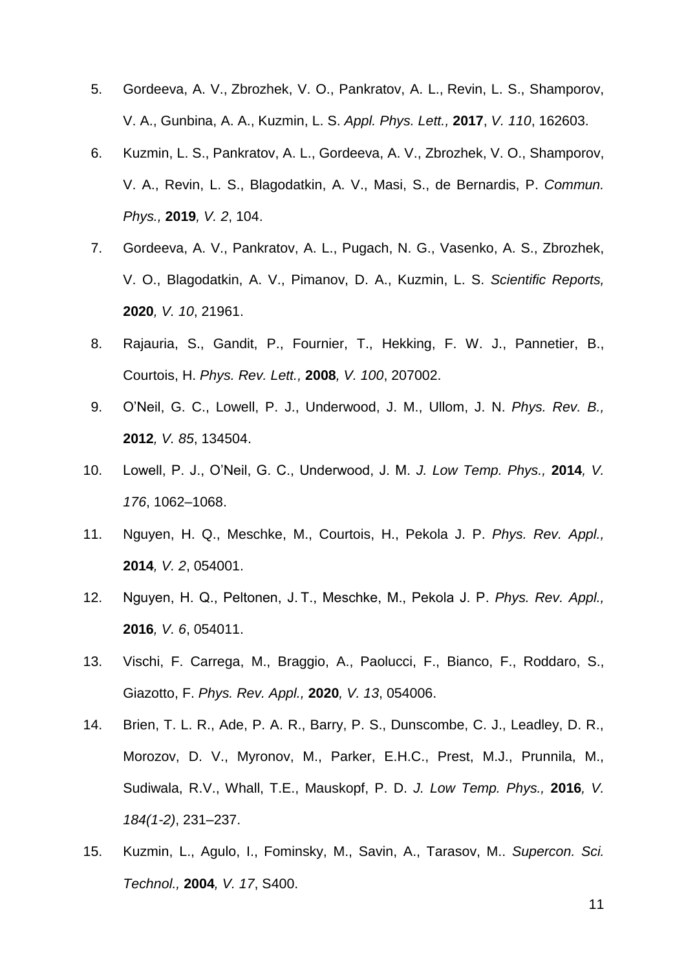- 5. [Gordeeva,](https://aip.scitation.org/author/Gordeeva%2C+A+V) A. V., [Zbrozhek,](https://aip.scitation.org/author/Zbrozhek%2C+V+O) V. O., [Pankratov,](https://aip.scitation.org/author/Pankratov%2C+A+L) A. L., [Revin,](https://aip.scitation.org/author/Revin%2C+L+S) L. S., [Shamporov,](https://aip.scitation.org/author/Shamporov%2C+V+A) V. A., [Gunbina,](https://aip.scitation.org/author/Gunbina%2C+A+A) A. A., [Kuzmin,](https://aip.scitation.org/author/Kuzmin%2C+L+S) L. S. *Appl. Phys. Lett.,* **2017**, *V. 110*, 162603.
- 6. [Kuzmin,](https://aip.scitation.org/author/Kuzmin%2C+L+S) L. S., [Pankratov,](https://aip.scitation.org/author/Pankratov%2C+A+L) A. L., [Gordeeva,](https://aip.scitation.org/author/Gordeeva%2C+A+V) A. V., [Zbrozhek,](https://aip.scitation.org/author/Zbrozhek%2C+V+O) V. O., [Shamporov,](https://aip.scitation.org/author/Shamporov%2C+V+A) V. A., [Revin,](https://aip.scitation.org/author/Revin%2C+L+S) L. S., Blagodatkin, A. V., Masi, S., de Bernardis, P. *Commun. Phys.,* **2019***, V. 2*, 104.
- 7. [Gordeeva,](https://aip.scitation.org/author/Gordeeva%2C+A+V) A. V., [Pankratov,](https://aip.scitation.org/author/Pankratov%2C+A+L) A. L., Pugach, N. G., Vasenko, A. S., Zbrozhek, V. O., Blagodatkin, A. V., Pimanov, D. A., Kuzmin, L. S. *Scientific Reports,*  **2020***, V. 10*, 21961.
- 8. Rajauria, S., Gandit, P., Fournier, T., Hekking, F. W. J., Pannetier, B., Courtois, H. *Phys. Rev. Lett.,* **2008***, V. 100*, 207002.
- 9. O'Neil, G. C., Lowell, P. J., Underwood, J. M., Ullom, J. N. *Phys. Rev. B.,*  **2012***, V. 85*, 134504.
- 10. Lowell, P. J., O'Neil, G. C., Underwood, J. M. *J. Low Temp. Phys.,* **2014***, V. 176*, 1062–1068.
- 11. Nguyen, H. Q., Meschke, M., Courtois, H., Pekola J. P. *Phys. Rev. Appl.,*  **2014***, V. 2*, 054001.
- 12. Nguyen, H. Q., Peltonen, J. T., Meschke, M., Pekola J. P. *Phys. Rev. Appl.,*  **2016***, V. 6*, 054011.
- 13. Vischi, F. Carrega, M., Braggio, A., Paolucci, F., Bianco, F., Roddaro, S., Giazotto, F. *Phys. Rev. Appl.,* **2020***, V. 13*, 054006.
- 14. Brien, T. L. R., Ade, P. A. R., Barry, P. S., Dunscombe, C. J., Leadley, D. R., Morozov, D. V., Myronov, M., Parker, E.H.C., Prest, M.J., Prunnila, M., Sudiwala, R.V., Whall, T.E., Mauskopf, P. D. *J. Low Temp. Phys.,* **2016***, V. 184(1-2)*, 231–237.
- 15. Kuzmin, L., Agulo, I., Fominsky, M., Savin, A., Tarasov, M.. *Supercon. Sci. Technol.,* **2004***, V. 17*, S400.

11